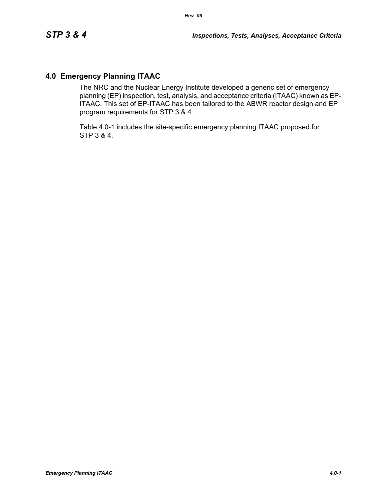# **4.0 Emergency Planning ITAAC**

The NRC and the Nuclear Energy Institute developed a generic set of emergency planning (EP) inspection, test, analysis, and acceptance criteria (ITAAC) known as EP-ITAAC. This set of EP-ITAAC has been tailored to the ABWR reactor design and EP program requirements for STP 3 & 4.

Table 4.0-1 includes the site-specific emergency planning ITAAC proposed for STP 3 & 4.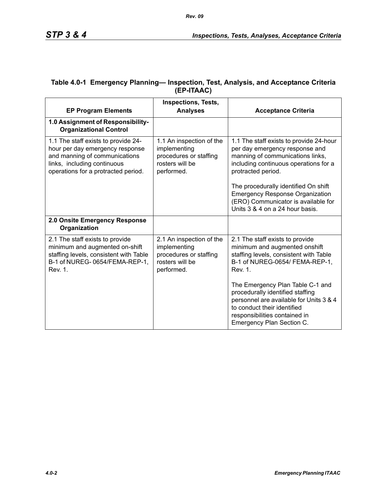| <b>EP Program Elements</b>                                                                                                                                                    | <b>Inspections, Tests,</b><br><b>Analyses</b>                                                       | <b>Acceptance Criteria</b>                                                                                                                                                                                   |
|-------------------------------------------------------------------------------------------------------------------------------------------------------------------------------|-----------------------------------------------------------------------------------------------------|--------------------------------------------------------------------------------------------------------------------------------------------------------------------------------------------------------------|
| 1.0 Assignment of Responsibility-<br><b>Organizational Control</b>                                                                                                            |                                                                                                     |                                                                                                                                                                                                              |
| 1.1 The staff exists to provide 24-<br>hour per day emergency response<br>and manning of communications<br>links, including continuous<br>operations for a protracted period. | 1.1 An inspection of the<br>implementing<br>procedures or staffing<br>rosters will be<br>performed. | 1.1 The staff exists to provide 24-hour<br>per day emergency response and<br>manning of communications links,<br>including continuous operations for a<br>protracted period.                                 |
|                                                                                                                                                                               |                                                                                                     | The procedurally identified On shift<br><b>Emergency Response Organization</b><br>(ERO) Communicator is available for<br>Units 3 & 4 on a 24 hour basis.                                                     |
| 2.0 Onsite Emergency Response<br>Organization                                                                                                                                 |                                                                                                     |                                                                                                                                                                                                              |
| 2.1 The staff exists to provide<br>minimum and augmented on-shift<br>staffing levels, consistent with Table<br>B-1 of NUREG-0654/FEMA-REP-1,<br><b>Rev. 1.</b>                | 2.1 An inspection of the<br>implementing<br>procedures or staffing<br>rosters will be<br>performed. | 2.1 The staff exists to provide<br>minimum and augmented onshift<br>staffing levels, consistent with Table<br>B-1 of NUREG-0654/ FEMA-REP-1,<br><b>Rev. 1.</b>                                               |
|                                                                                                                                                                               |                                                                                                     | The Emergency Plan Table C-1 and<br>procedurally identified staffing<br>personnel are available for Units 3 & 4<br>to conduct their identified<br>responsibilities contained in<br>Emergency Plan Section C. |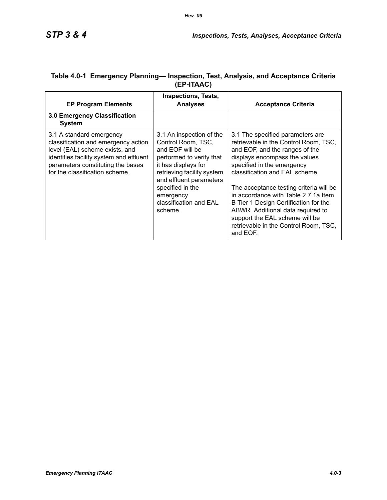| <b>EP Program Elements</b>                                                                                                                                                                                          | <b>Inspections, Tests,</b><br><b>Analyses</b>                                                                                                                                                                                                       | <b>Acceptance Criteria</b>                                                                                                                                                                                                                                                                                                                                                                                                                                           |
|---------------------------------------------------------------------------------------------------------------------------------------------------------------------------------------------------------------------|-----------------------------------------------------------------------------------------------------------------------------------------------------------------------------------------------------------------------------------------------------|----------------------------------------------------------------------------------------------------------------------------------------------------------------------------------------------------------------------------------------------------------------------------------------------------------------------------------------------------------------------------------------------------------------------------------------------------------------------|
| 3.0 Emergency Classification<br><b>System</b>                                                                                                                                                                       |                                                                                                                                                                                                                                                     |                                                                                                                                                                                                                                                                                                                                                                                                                                                                      |
| 3.1 A standard emergency<br>classification and emergency action<br>level (EAL) scheme exists, and<br>identifies facility system and effluent<br>parameters constituting the bases<br>for the classification scheme. | 3.1 An inspection of the<br>Control Room, TSC,<br>and EOF will be<br>performed to verify that<br>it has displays for<br>retrieving facility system<br>and effluent parameters<br>specified in the<br>emergency<br>classification and EAL<br>scheme. | 3.1 The specified parameters are<br>retrievable in the Control Room, TSC,<br>and EOF, and the ranges of the<br>displays encompass the values<br>specified in the emergency<br>classification and EAL scheme.<br>The acceptance testing criteria will be<br>in accordance with Table 2.7.1a Item<br>B Tier 1 Design Certification for the<br>ABWR. Additional data required to<br>support the EAL scheme will be<br>retrievable in the Control Room, TSC,<br>and EOF. |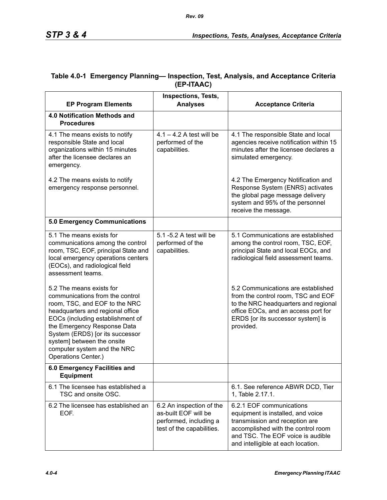| <b>EP Program Elements</b>                                                                                                                                                                                                                                                                                                 | <b>Inspections, Tests,</b><br><b>Analyses</b>                                                           | <b>Acceptance Criteria</b>                                                                                                                                                                                       |
|----------------------------------------------------------------------------------------------------------------------------------------------------------------------------------------------------------------------------------------------------------------------------------------------------------------------------|---------------------------------------------------------------------------------------------------------|------------------------------------------------------------------------------------------------------------------------------------------------------------------------------------------------------------------|
| 4.0 Notification Methods and<br><b>Procedures</b>                                                                                                                                                                                                                                                                          |                                                                                                         |                                                                                                                                                                                                                  |
| 4.1 The means exists to notify<br>responsible State and local<br>organizations within 15 minutes<br>after the licensee declares an<br>emergency.                                                                                                                                                                           | $4.1 - 4.2$ A test will be<br>performed of the<br>capabilities.                                         | 4.1 The responsible State and local<br>agencies receive notification within 15<br>minutes after the licensee declares a<br>simulated emergency.                                                                  |
| 4.2 The means exists to notify<br>emergency response personnel.                                                                                                                                                                                                                                                            |                                                                                                         | 4.2 The Emergency Notification and<br>Response System (ENRS) activates<br>the global page message delivery<br>system and 95% of the personnel<br>receive the message.                                            |
| <b>5.0 Emergency Communications</b>                                                                                                                                                                                                                                                                                        |                                                                                                         |                                                                                                                                                                                                                  |
| 5.1 The means exists for<br>communications among the control<br>room, TSC, EOF, principal State and<br>local emergency operations centers<br>(EOCs), and radiological field<br>assessment teams.                                                                                                                           | 5.1 -5.2 A test will be<br>performed of the<br>capabilities.                                            | 5.1 Communications are established<br>among the control room, TSC, EOF,<br>principal State and local EOCs, and<br>radiological field assessment teams.                                                           |
| 5.2 The means exists for<br>communications from the control<br>room, TSC, and EOF to the NRC<br>headquarters and regional office<br>EOCs (including establishment of<br>the Emergency Response Data<br>System (ERDS) [or its successor<br>system] between the onsite<br>computer system and the NRC<br>Operations Center.) |                                                                                                         | 5.2 Communications are established<br>from the control room, TSC and EOF<br>to the NRC headquarters and regional<br>office EOCs, and an access port for<br>ERDS [or its successor system] is<br>provided.        |
| 6.0 Emergency Facilities and<br><b>Equipment</b>                                                                                                                                                                                                                                                                           |                                                                                                         |                                                                                                                                                                                                                  |
| 6.1 The licensee has established a<br>TSC and onsite OSC.                                                                                                                                                                                                                                                                  |                                                                                                         | 6.1. See reference ABWR DCD, Tier<br>1, Table 2.17.1.                                                                                                                                                            |
| 6.2 The licensee has established an<br>EOF.                                                                                                                                                                                                                                                                                | 6.2 An inspection of the<br>as-built EOF will be<br>performed, including a<br>test of the capabilities. | 6.2.1 EOF communications<br>equipment is installed, and voice<br>transmission and reception are<br>accomplished with the control room<br>and TSC. The EOF voice is audible<br>and intelligible at each location. |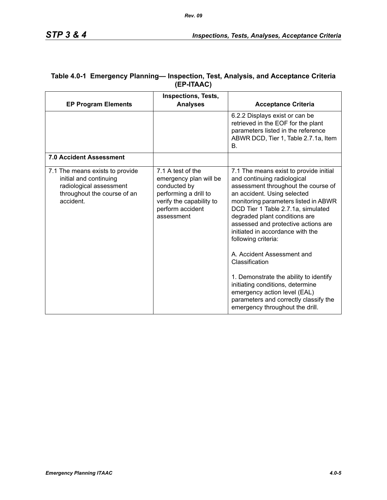|                                                                                                                                  | <b>Inspections, Tests,</b>                                                                                                                         |                                                                                                                                                                                                                                                                                                                                                                                                                                                                                                                                                                     |
|----------------------------------------------------------------------------------------------------------------------------------|----------------------------------------------------------------------------------------------------------------------------------------------------|---------------------------------------------------------------------------------------------------------------------------------------------------------------------------------------------------------------------------------------------------------------------------------------------------------------------------------------------------------------------------------------------------------------------------------------------------------------------------------------------------------------------------------------------------------------------|
| <b>EP Program Elements</b>                                                                                                       | <b>Analyses</b>                                                                                                                                    | <b>Acceptance Criteria</b>                                                                                                                                                                                                                                                                                                                                                                                                                                                                                                                                          |
|                                                                                                                                  |                                                                                                                                                    | 6.2.2 Displays exist or can be<br>retrieved in the EOF for the plant<br>parameters listed in the reference<br>ABWR DCD, Tier 1, Table 2.7.1a, Item<br>В.                                                                                                                                                                                                                                                                                                                                                                                                            |
| <b>7.0 Accident Assessment</b>                                                                                                   |                                                                                                                                                    |                                                                                                                                                                                                                                                                                                                                                                                                                                                                                                                                                                     |
| 7.1 The means exists to provide<br>initial and continuing<br>radiological assessment<br>throughout the course of an<br>accident. | 7.1 A test of the<br>emergency plan will be<br>conducted by<br>performing a drill to<br>verify the capability to<br>perform accident<br>assessment | 7.1 The means exist to provide initial<br>and continuing radiological<br>assessment throughout the course of<br>an accident. Using selected<br>monitoring parameters listed in ABWR<br>DCD Tier 1 Table 2.7.1a, simulated<br>degraded plant conditions are<br>assessed and protective actions are<br>initiated in accordance with the<br>following criteria:<br>A. Accident Assessment and<br>Classification<br>1. Demonstrate the ability to identify<br>initiating conditions, determine<br>emergency action level (EAL)<br>parameters and correctly classify the |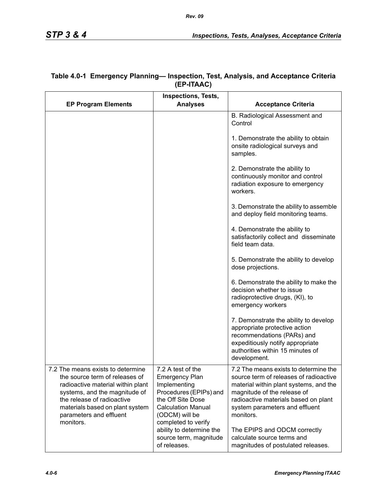| <b>EP Program Elements</b>                                                                                                                                                                                                                         | <b>Inspections, Tests,</b><br><b>Analyses</b>                                                                                                                                   | <b>Acceptance Criteria</b>                                                                                                                                                                                                                      |
|----------------------------------------------------------------------------------------------------------------------------------------------------------------------------------------------------------------------------------------------------|---------------------------------------------------------------------------------------------------------------------------------------------------------------------------------|-------------------------------------------------------------------------------------------------------------------------------------------------------------------------------------------------------------------------------------------------|
|                                                                                                                                                                                                                                                    |                                                                                                                                                                                 | B. Radiological Assessment and<br>Control                                                                                                                                                                                                       |
|                                                                                                                                                                                                                                                    |                                                                                                                                                                                 | 1. Demonstrate the ability to obtain<br>onsite radiological surveys and<br>samples.                                                                                                                                                             |
|                                                                                                                                                                                                                                                    |                                                                                                                                                                                 | 2. Demonstrate the ability to<br>continuously monitor and control<br>radiation exposure to emergency<br>workers.                                                                                                                                |
|                                                                                                                                                                                                                                                    |                                                                                                                                                                                 | 3. Demonstrate the ability to assemble<br>and deploy field monitoring teams.                                                                                                                                                                    |
|                                                                                                                                                                                                                                                    |                                                                                                                                                                                 | 4. Demonstrate the ability to<br>satisfactorily collect and disseminate<br>field team data.                                                                                                                                                     |
|                                                                                                                                                                                                                                                    |                                                                                                                                                                                 | 5. Demonstrate the ability to develop<br>dose projections.                                                                                                                                                                                      |
|                                                                                                                                                                                                                                                    |                                                                                                                                                                                 | 6. Demonstrate the ability to make the<br>decision whether to issue<br>radioprotective drugs, (KI), to<br>emergency workers                                                                                                                     |
|                                                                                                                                                                                                                                                    |                                                                                                                                                                                 | 7. Demonstrate the ability to develop<br>appropriate protective action<br>recommendations (PARs) and<br>expeditiously notify appropriate<br>authorities within 15 minutes of<br>development.                                                    |
| 7.2 The means exists to determine<br>the source term of releases of<br>radioactive material within plant<br>systems, and the magnitude of<br>the release of radioactive<br>materials based on plant system<br>parameters and effluent<br>monitors. | 7.2 A test of the<br><b>Emergency Plan</b><br>Implementing<br>Procedures (EPIPs) and<br>the Off Site Dose<br><b>Calculation Manual</b><br>(ODCM) will be<br>completed to verify | 7.2 The means exists to determine the<br>source term of releases of radioactive<br>material within plant systems, and the<br>magnitude of the release of<br>radioactive materials based on plant<br>system parameters and effluent<br>monitors. |
|                                                                                                                                                                                                                                                    | ability to determine the<br>source term, magnitude<br>of releases.                                                                                                              | The EPIPS and ODCM correctly<br>calculate source terms and<br>magnitudes of postulated releases.                                                                                                                                                |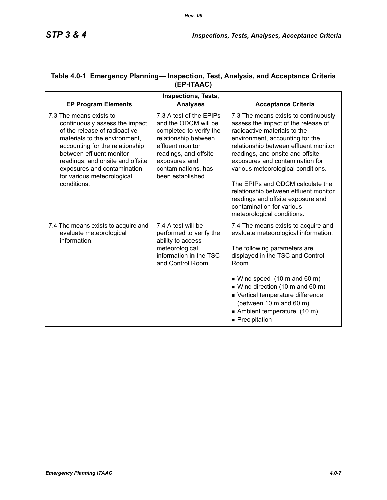|                                                                                                                                                                                                                                                                                                            | <b>Inspections, Tests,</b>                                                                                                                                                                                   |                                                                                                                                                                                                                                                                                                                                                                                                                                                                                   |
|------------------------------------------------------------------------------------------------------------------------------------------------------------------------------------------------------------------------------------------------------------------------------------------------------------|--------------------------------------------------------------------------------------------------------------------------------------------------------------------------------------------------------------|-----------------------------------------------------------------------------------------------------------------------------------------------------------------------------------------------------------------------------------------------------------------------------------------------------------------------------------------------------------------------------------------------------------------------------------------------------------------------------------|
| <b>EP Program Elements</b>                                                                                                                                                                                                                                                                                 | <b>Analyses</b>                                                                                                                                                                                              | <b>Acceptance Criteria</b>                                                                                                                                                                                                                                                                                                                                                                                                                                                        |
| 7.3 The means exists to<br>continuously assess the impact<br>of the release of radioactive<br>materials to the environment,<br>accounting for the relationship<br>between effluent monitor<br>readings, and onsite and offsite<br>exposures and contamination<br>for various meteorological<br>conditions. | 7.3 A test of the EPIPs<br>and the ODCM will be<br>completed to verify the<br>relationship between<br>effluent monitor<br>readings, and offsite<br>exposures and<br>contaminations, has<br>been established. | 7.3 The means exists to continuously<br>assess the impact of the release of<br>radioactive materials to the<br>environment, accounting for the<br>relationship between effluent monitor<br>readings, and onsite and offsite<br>exposures and contamination for<br>various meteorological conditions.<br>The EPIPs and ODCM calculate the<br>relationship between effluent monitor<br>readings and offsite exposure and<br>contamination for various<br>meteorological conditions. |
| 7.4 The means exists to acquire and<br>evaluate meteorological<br>information.                                                                                                                                                                                                                             | 7.4 A test will be<br>performed to verify the<br>ability to access<br>meteorological<br>information in the TSC<br>and Control Room.                                                                          | 7.4 The means exists to acquire and<br>evaluate meteorological information.<br>The following parameters are<br>displayed in the TSC and Control<br>Room.<br>■ Wind speed (10 m and 60 m)<br>$\blacksquare$ Wind direction (10 m and 60 m)<br>■ Vertical temperature difference                                                                                                                                                                                                    |
|                                                                                                                                                                                                                                                                                                            |                                                                                                                                                                                                              | (between 10 m and 60 m)<br>Ambient temperature (10 m)<br>Precipitation                                                                                                                                                                                                                                                                                                                                                                                                            |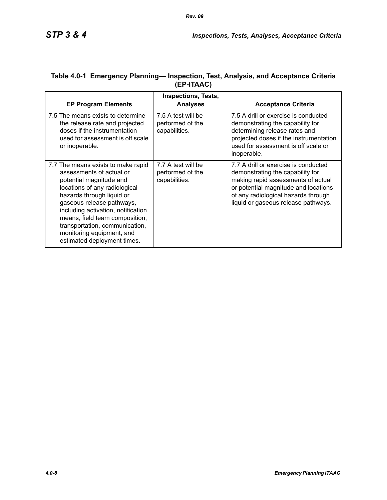| <b>EP Program Elements</b>                                                                                                                                                                                                                                                                                                                                 | <b>Inspections, Tests,</b><br><b>Analyses</b>           | <b>Acceptance Criteria</b>                                                                                                                                                                                                           |
|------------------------------------------------------------------------------------------------------------------------------------------------------------------------------------------------------------------------------------------------------------------------------------------------------------------------------------------------------------|---------------------------------------------------------|--------------------------------------------------------------------------------------------------------------------------------------------------------------------------------------------------------------------------------------|
| 7.5 The means exists to determine<br>the release rate and projected<br>doses if the instrumentation<br>used for assessment is off scale<br>or inoperable.                                                                                                                                                                                                  | 7.5 A test will be<br>performed of the<br>capabilities. | 7.5 A drill or exercise is conducted<br>demonstrating the capability for<br>determining release rates and<br>projected doses if the instrumentation<br>used for assessment is off scale or<br>inoperable.                            |
| 7.7 The means exists to make rapid<br>assessments of actual or<br>potential magnitude and<br>locations of any radiological<br>hazards through liquid or<br>gaseous release pathways,<br>including activation, notification<br>means, field team composition,<br>transportation, communication,<br>monitoring equipment, and<br>estimated deployment times. | 7.7 A test will be<br>performed of the<br>capabilities. | 7.7 A drill or exercise is conducted<br>demonstrating the capability for<br>making rapid assessments of actual<br>or potential magnitude and locations<br>of any radiological hazards through<br>liquid or gaseous release pathways. |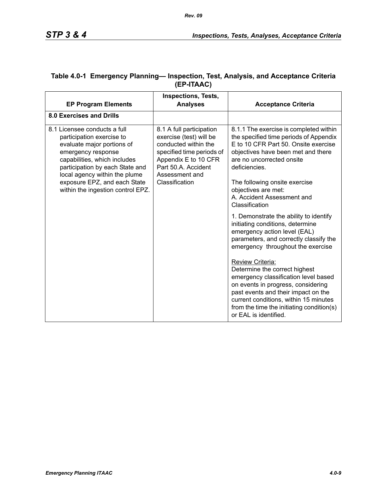|                                                                                                                                                                                                                                                                                        | <b>Inspections, Tests,</b>                                                                                                                                                                  |                                                                                                                                                                                                                                                                                                                                                                                                                                                                                                                                                                                                                |
|----------------------------------------------------------------------------------------------------------------------------------------------------------------------------------------------------------------------------------------------------------------------------------------|---------------------------------------------------------------------------------------------------------------------------------------------------------------------------------------------|----------------------------------------------------------------------------------------------------------------------------------------------------------------------------------------------------------------------------------------------------------------------------------------------------------------------------------------------------------------------------------------------------------------------------------------------------------------------------------------------------------------------------------------------------------------------------------------------------------------|
| <b>EP Program Elements</b>                                                                                                                                                                                                                                                             | <b>Analyses</b>                                                                                                                                                                             | <b>Acceptance Criteria</b>                                                                                                                                                                                                                                                                                                                                                                                                                                                                                                                                                                                     |
| 8.0 Exercises and Drills                                                                                                                                                                                                                                                               |                                                                                                                                                                                             |                                                                                                                                                                                                                                                                                                                                                                                                                                                                                                                                                                                                                |
| 8.1 Licensee conducts a full<br>participation exercise to<br>evaluate major portions of<br>emergency response<br>capabilities, which includes<br>participation by each State and<br>local agency within the plume<br>exposure EPZ, and each State<br>within the ingestion control EPZ. | 8.1 A full participation<br>exercise (test) will be<br>conducted within the<br>specified time periods of<br>Appendix E to 10 CFR<br>Part 50.A. Accident<br>Assessment and<br>Classification | 8.1.1 The exercise is completed within<br>the specified time periods of Appendix<br>E to 10 CFR Part 50. Onsite exercise<br>objectives have been met and there<br>are no uncorrected onsite<br>deficiencies.<br>The following onsite exercise<br>objectives are met:<br>A. Accident Assessment and<br>Classification<br>1. Demonstrate the ability to identify<br>initiating conditions, determine<br>emergency action level (EAL)<br>parameters, and correctly classify the<br>emergency throughout the exercise<br>Review Criteria:<br>Determine the correct highest<br>emergency classification level based |
|                                                                                                                                                                                                                                                                                        |                                                                                                                                                                                             | on events in progress, considering<br>past events and their impact on the<br>current conditions, within 15 minutes<br>from the time the initiating condition(s)<br>or EAL is identified.                                                                                                                                                                                                                                                                                                                                                                                                                       |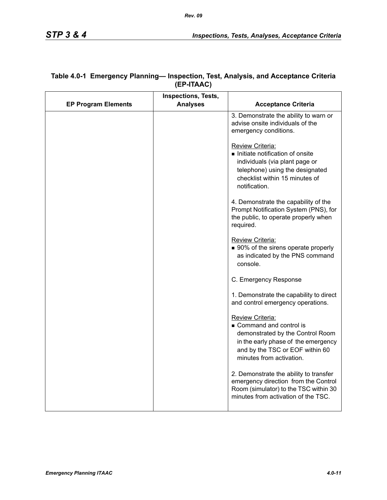|                            | Inspections, Tests, |                                                                                                                                                                                      |
|----------------------------|---------------------|--------------------------------------------------------------------------------------------------------------------------------------------------------------------------------------|
| <b>EP Program Elements</b> | <b>Analyses</b>     | <b>Acceptance Criteria</b>                                                                                                                                                           |
|                            |                     | 3. Demonstrate the ability to warn or<br>advise onsite individuals of the<br>emergency conditions.                                                                                   |
|                            |                     | Review Criteria:<br>Initiate notification of onsite<br>individuals (via plant page or<br>telephone) using the designated<br>checklist within 15 minutes of<br>notification.          |
|                            |                     | 4. Demonstrate the capability of the<br>Prompt Notification System (PNS), for<br>the public, to operate properly when<br>required.                                                   |
|                            |                     | Review Criteria:<br>■ 90% of the sirens operate properly<br>as indicated by the PNS command<br>console.                                                                              |
|                            |                     | C. Emergency Response                                                                                                                                                                |
|                            |                     | 1. Demonstrate the capability to direct<br>and control emergency operations.                                                                                                         |
|                            |                     | Review Criteria:<br>Command and control is<br>demonstrated by the Control Room<br>in the early phase of the emergency<br>and by the TSC or EOF within 60<br>minutes from activation. |
|                            |                     | 2. Demonstrate the ability to transfer<br>emergency direction from the Control<br>Room (simulator) to the TSC within 30<br>minutes from activation of the TSC.                       |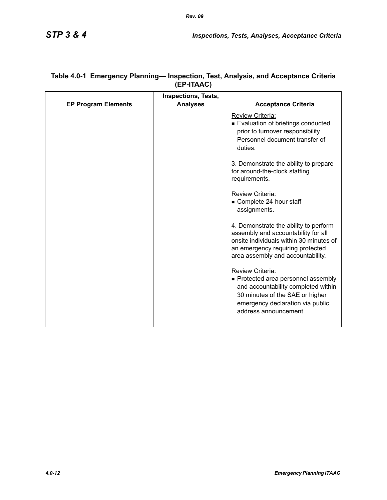|                            | <b>Inspections, Tests,</b> |                                                                                                                                                                                                  |
|----------------------------|----------------------------|--------------------------------------------------------------------------------------------------------------------------------------------------------------------------------------------------|
| <b>EP Program Elements</b> | <b>Analyses</b>            | <b>Acceptance Criteria</b>                                                                                                                                                                       |
|                            |                            | Review Criteria:<br>Evaluation of briefings conducted<br>prior to turnover responsibility.<br>Personnel document transfer of<br>duties.                                                          |
|                            |                            | 3. Demonstrate the ability to prepare<br>for around-the-clock staffing<br>requirements.                                                                                                          |
|                            |                            | Review Criteria:<br>Complete 24-hour staff<br>assignments.                                                                                                                                       |
|                            |                            | 4. Demonstrate the ability to perform<br>assembly and accountability for all<br>onsite individuals within 30 minutes of<br>an emergency requiring protected<br>area assembly and accountability. |
|                            |                            | Review Criteria:<br>• Protected area personnel assembly<br>and accountability completed within<br>30 minutes of the SAE or higher<br>emergency declaration via public<br>address announcement.   |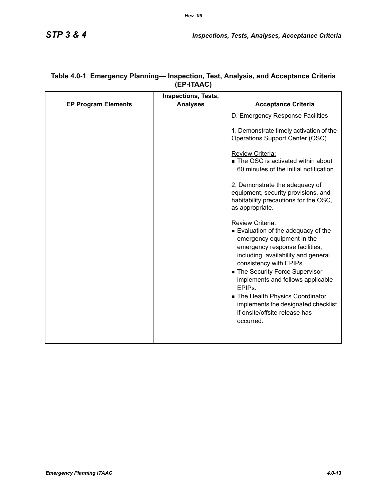|                            | <b>Inspections, Tests,</b> |                                                                                                                                                                                                                                                                                                                                                                                                                |
|----------------------------|----------------------------|----------------------------------------------------------------------------------------------------------------------------------------------------------------------------------------------------------------------------------------------------------------------------------------------------------------------------------------------------------------------------------------------------------------|
| <b>EP Program Elements</b> | <b>Analyses</b>            | <b>Acceptance Criteria</b>                                                                                                                                                                                                                                                                                                                                                                                     |
|                            |                            | D. Emergency Response Facilities                                                                                                                                                                                                                                                                                                                                                                               |
|                            |                            | 1. Demonstrate timely activation of the<br>Operations Support Center (OSC).                                                                                                                                                                                                                                                                                                                                    |
|                            |                            | Review Criteria:<br>■ The OSC is activated within about<br>60 minutes of the initial notification.                                                                                                                                                                                                                                                                                                             |
|                            |                            | 2. Demonstrate the adequacy of<br>equipment, security provisions, and<br>habitability precautions for the OSC,<br>as appropriate.                                                                                                                                                                                                                                                                              |
|                            |                            | Review Criteria:<br>■ Evaluation of the adequacy of the<br>emergency equipment in the<br>emergency response facilities,<br>including availability and general<br>consistency with EPIPs.<br>• The Security Force Supervisor<br>implements and follows applicable<br>EPIP <sub>s</sub> .<br>The Health Physics Coordinator<br>implements the designated checklist<br>if onsite/offsite release has<br>occurred. |
|                            |                            |                                                                                                                                                                                                                                                                                                                                                                                                                |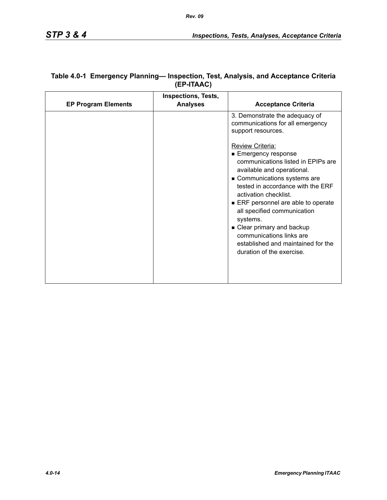| <b>EP Program Elements</b> | <b>Inspections, Tests,</b><br><b>Analyses</b> | <b>Acceptance Criteria</b>                                                                                                                                                                                                                                                                                                                                                                  |
|----------------------------|-----------------------------------------------|---------------------------------------------------------------------------------------------------------------------------------------------------------------------------------------------------------------------------------------------------------------------------------------------------------------------------------------------------------------------------------------------|
|                            |                                               | 3. Demonstrate the adequacy of<br>communications for all emergency<br>support resources.<br><b>Review Criteria:</b><br>■ Emergency response<br>communications listed in EPIPs are<br>available and operational.<br>Communications systems are<br>tested in accordance with the ERF<br>activation checklist.<br>ERF personnel are able to operate<br>all specified communication<br>systems. |
|                            |                                               | • Clear primary and backup<br>communications links are<br>established and maintained for the<br>duration of the exercise.                                                                                                                                                                                                                                                                   |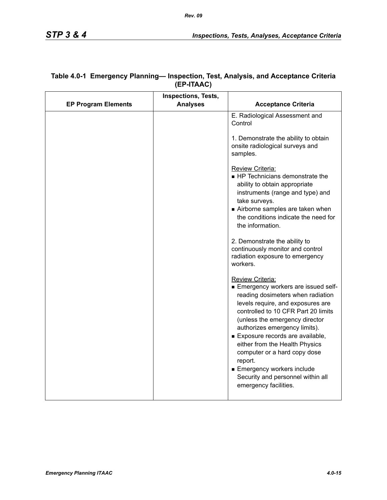|                            | <b>Inspections, Tests,</b> |                                                                                                                                                                                                                                                                                                                                                                                                                                                              |
|----------------------------|----------------------------|--------------------------------------------------------------------------------------------------------------------------------------------------------------------------------------------------------------------------------------------------------------------------------------------------------------------------------------------------------------------------------------------------------------------------------------------------------------|
| <b>EP Program Elements</b> | <b>Analyses</b>            | <b>Acceptance Criteria</b>                                                                                                                                                                                                                                                                                                                                                                                                                                   |
|                            |                            | E. Radiological Assessment and<br>Control                                                                                                                                                                                                                                                                                                                                                                                                                    |
|                            |                            | 1. Demonstrate the ability to obtain<br>onsite radiological surveys and<br>samples.                                                                                                                                                                                                                                                                                                                                                                          |
|                            |                            | Review Criteria:<br>■ HP Technicians demonstrate the<br>ability to obtain appropriate<br>instruments (range and type) and<br>take surveys.<br>Airborne samples are taken when<br>the conditions indicate the need for<br>the information.                                                                                                                                                                                                                    |
|                            |                            | 2. Demonstrate the ability to<br>continuously monitor and control<br>radiation exposure to emergency<br>workers.                                                                                                                                                                                                                                                                                                                                             |
|                            |                            | Review Criteria:<br>Emergency workers are issued self-<br>reading dosimeters when radiation<br>levels require, and exposures are<br>controlled to 10 CFR Part 20 limits<br>(unless the emergency director<br>authorizes emergency limits).<br>Exposure records are available,<br>either from the Health Physics<br>computer or a hard copy dose<br>report.<br><b>Emergency workers include</b><br>Security and personnel within all<br>emergency facilities. |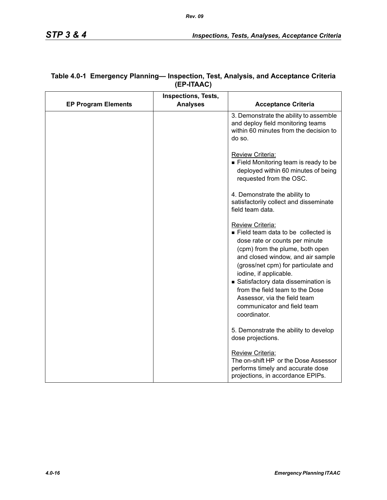|                            | Inspections, Tests, |                                                                                                                                                                                                                                                                                                                                                                                           |
|----------------------------|---------------------|-------------------------------------------------------------------------------------------------------------------------------------------------------------------------------------------------------------------------------------------------------------------------------------------------------------------------------------------------------------------------------------------|
| <b>EP Program Elements</b> | <b>Analyses</b>     | <b>Acceptance Criteria</b>                                                                                                                                                                                                                                                                                                                                                                |
|                            |                     | 3. Demonstrate the ability to assemble<br>and deploy field monitoring teams<br>within 60 minutes from the decision to<br>do so.                                                                                                                                                                                                                                                           |
|                            |                     | Review Criteria:<br>■ Field Monitoring team is ready to be<br>deployed within 60 minutes of being<br>requested from the OSC.                                                                                                                                                                                                                                                              |
|                            |                     | 4. Demonstrate the ability to<br>satisfactorily collect and disseminate<br>field team data.                                                                                                                                                                                                                                                                                               |
|                            |                     | Review Criteria:<br>Field team data to be collected is<br>dose rate or counts per minute<br>(cpm) from the plume, both open<br>and closed window, and air sample<br>(gross/net cpm) for particulate and<br>iodine, if applicable.<br>Satisfactory data dissemination is<br>from the field team to the Dose<br>Assessor, via the field team<br>communicator and field team<br>coordinator. |
|                            |                     | 5. Demonstrate the ability to develop<br>dose projections.                                                                                                                                                                                                                                                                                                                                |
|                            |                     | Review Criteria:<br>The on-shift HP or the Dose Assessor<br>performs timely and accurate dose<br>projections, in accordance EPIPs.                                                                                                                                                                                                                                                        |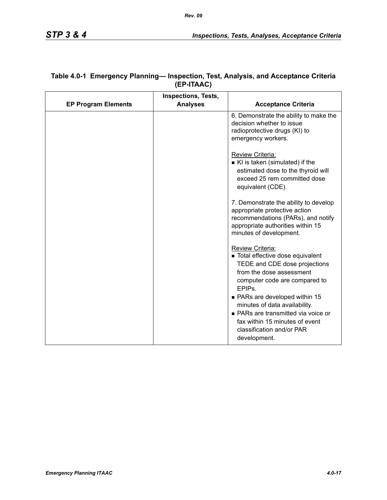|                            | <b>Inspections, Tests,</b> |                                                                                                                                                                                                                                                                                                                                                                   |
|----------------------------|----------------------------|-------------------------------------------------------------------------------------------------------------------------------------------------------------------------------------------------------------------------------------------------------------------------------------------------------------------------------------------------------------------|
| <b>EP Program Elements</b> | <b>Analyses</b>            | <b>Acceptance Criteria</b>                                                                                                                                                                                                                                                                                                                                        |
|                            |                            | 6. Demonstrate the ability to make the<br>decision whether to issue<br>radioprotective drugs (KI) to<br>emergency workers.                                                                                                                                                                                                                                        |
|                            |                            | Review Criteria:<br>KI is taken (simulated) if the<br>estimated dose to the thyroid will<br>exceed 25 rem committed dose<br>equivalent (CDE).                                                                                                                                                                                                                     |
|                            |                            | 7. Demonstrate the ability to develop<br>appropriate protective action<br>recommendations (PARs), and notify<br>appropriate authorities within 15<br>minutes of development.                                                                                                                                                                                      |
|                            |                            | Review Criteria:<br>■ Total effective dose equivalent<br>TEDE and CDE dose projections<br>from the dose assessment<br>computer code are compared to<br>EPIP <sub>S</sub><br>• PARs are developed within 15<br>minutes of data availability.<br>• PARs are transmitted via voice or<br>fax within 15 minutes of event<br>classification and/or PAR<br>development. |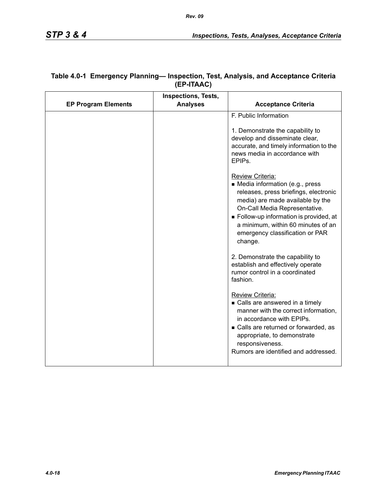|                            | <b>Inspections, Tests,</b> |                                                                                                                                                                                                                                                                                                 |
|----------------------------|----------------------------|-------------------------------------------------------------------------------------------------------------------------------------------------------------------------------------------------------------------------------------------------------------------------------------------------|
| <b>EP Program Elements</b> | <b>Analyses</b>            | <b>Acceptance Criteria</b>                                                                                                                                                                                                                                                                      |
|                            |                            | F. Public Information<br>1. Demonstrate the capability to<br>develop and disseminate clear,<br>accurate, and timely information to the<br>news media in accordance with<br>EPIP <sub>s</sub>                                                                                                    |
|                            |                            | Review Criteria:<br>• Media information (e.g., press<br>releases, press briefings, electronic<br>media) are made available by the<br>On-Call Media Representative.<br>Follow-up information is provided, at<br>a minimum, within 60 minutes of an<br>emergency classification or PAR<br>change. |
|                            |                            | 2. Demonstrate the capability to<br>establish and effectively operate<br>rumor control in a coordinated<br>fashion.                                                                                                                                                                             |
|                            |                            | <b>Review Criteria:</b><br>• Calls are answered in a timely<br>manner with the correct information,<br>in accordance with EPIPs.<br>• Calls are returned or forwarded, as<br>appropriate, to demonstrate<br>responsiveness.<br>Rumors are identified and addressed.                             |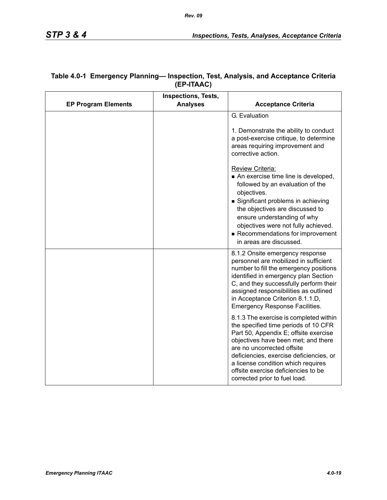|                            | <b>Inspections, Tests,</b> |                                                                                                                                                                                                                                                                                                                                                       |
|----------------------------|----------------------------|-------------------------------------------------------------------------------------------------------------------------------------------------------------------------------------------------------------------------------------------------------------------------------------------------------------------------------------------------------|
| <b>EP Program Elements</b> | <b>Analyses</b>            | <b>Acceptance Criteria</b>                                                                                                                                                                                                                                                                                                                            |
|                            |                            | G. Evaluation                                                                                                                                                                                                                                                                                                                                         |
|                            |                            | 1. Demonstrate the ability to conduct<br>a post-exercise critique, to determine<br>areas requiring improvement and<br>corrective action.                                                                                                                                                                                                              |
|                            |                            | Review Criteria:<br>An exercise time line is developed,<br>followed by an evaluation of the<br>objectives.<br>Significant problems in achieving<br>the objectives are discussed to<br>ensure understanding of why<br>objectives were not fully achieved.<br>Recommendations for improvement<br>in areas are discussed.                                |
|                            |                            | 8.1.2 Onsite emergency response<br>personnel are mobilized in sufficient<br>number to fill the emergency positions<br>identified in emergency plan Section<br>C, and they successfully perform their<br>assigned responsibilities as outlined<br>in Acceptance Criterion 8.1.1.D,<br><b>Emergency Response Facilities.</b>                            |
|                            |                            | 8.1.3 The exercise is completed within<br>the specified time periods of 10 CFR<br>Part 50, Appendix E; offsite exercise<br>objectives have been met; and there<br>are no uncorrected offsite<br>deficiencies, exercise deficiencies, or<br>a license condition which requires<br>offsite exercise deficiencies to be<br>corrected prior to fuel load. |